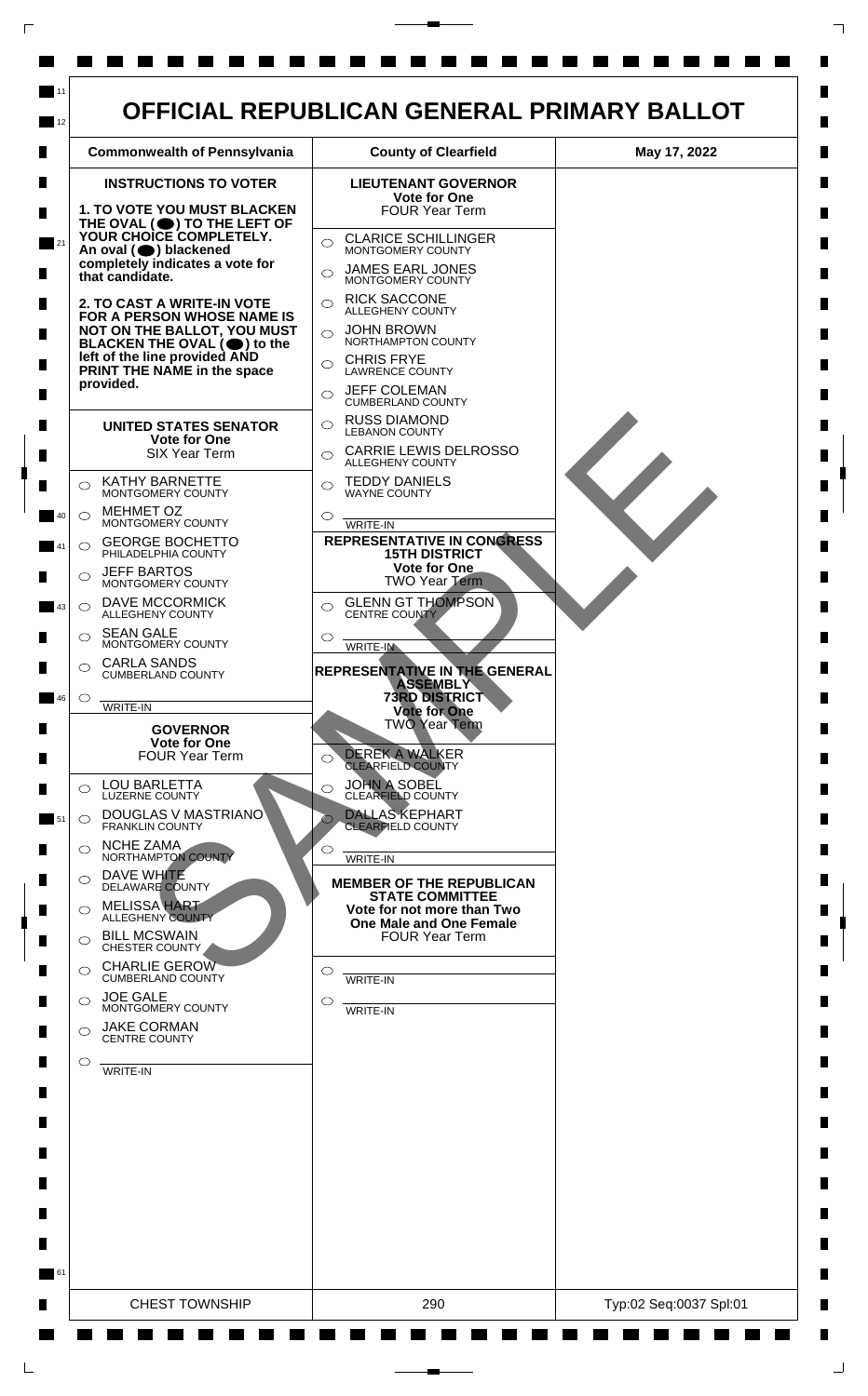

 $\mathsf{L}$